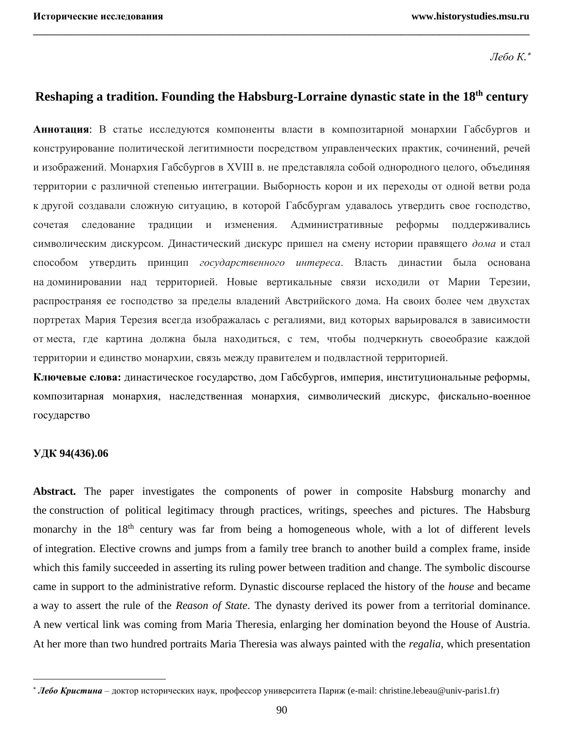*Лебо К.*

# **Reshaping a tradition. Founding the Habsburg-Lorraine dynastic state in the 18th century**

\_\_\_\_\_\_\_\_\_\_\_\_\_\_\_\_\_\_\_\_\_\_\_\_\_\_\_\_\_\_\_\_\_\_\_\_\_\_\_\_\_\_\_\_\_\_\_\_\_\_\_\_\_\_\_\_\_\_\_\_\_\_\_\_\_\_\_\_\_\_\_\_\_\_\_\_\_

**Аннотация**: В статье исследуются компоненты власти в композитарной монархии Габсбургов и конструирование политической легитимности посредством управленческих практик, сочинений, речей и изображений. Монархия Габсбургов в XVIII в. не представляла собой однородного целого, объединяя территории с различной степенью интеграции. Выборность корон и их переходы от одной ветви рода к другой создавали сложную ситуацию, в которой Габсбургам удавалось утвердить свое господство, сочетая следование традиции и изменения. Административные реформы поддерживались символическим дискурсом. Династический дискурс пришел на смену истории правящего *дома* и стал способом утвердить принцип *государственного интереса*. Власть династии была основана на доминировании над территорией. Новые вертикальные связи исходили от Марии Терезии, распространяя ее господство за пределы владений Австрийского дома. На своих более чем двухстах портретах Мария Терезия всегда изображалась с регалиями, вид которых варьировался в зависимости от места, где картина должна была находиться, с тем, чтобы подчеркнуть своеобразие каждой территории и единство монархии, связь между правителем и подвластной территорией.

**Ключевые слова:** династическое государство, дом Габсбургов, империя, институциональные реформы, композитарная монархия, наследственная монархия, символический дискурс, фискально-военное государство

### **УДК 94(436).06**

 $\overline{a}$ 

Abstract. The paper investigates the components of power in composite Habsburg monarchy and the construction of political legitimacy through practices, writings, speeches and pictures. The Habsburg monarchy in the 18<sup>th</sup> century was far from being a homogeneous whole, with a lot of different levels of integration. Elective crowns and jumps from a family tree branch to another build a complex frame, inside which this family succeeded in asserting its ruling power between tradition and change. The symbolic discourse came in support to the administrative reform. Dynastic discourse replaced the history of the *house* and became a way to assert the rule of the *Reason of State*. The dynasty derived its power from a territorial dominance. A new vertical link was coming from Maria Theresia, enlarging her domination beyond the House of Austria. At her more than two hundred portraits Maria Theresia was always painted with the *regalia,* which presentation

*Лебо Кристина* – доктор исторических наук, профессор университета Париж (e-mail: christine.lebeau@univ-paris1.fr)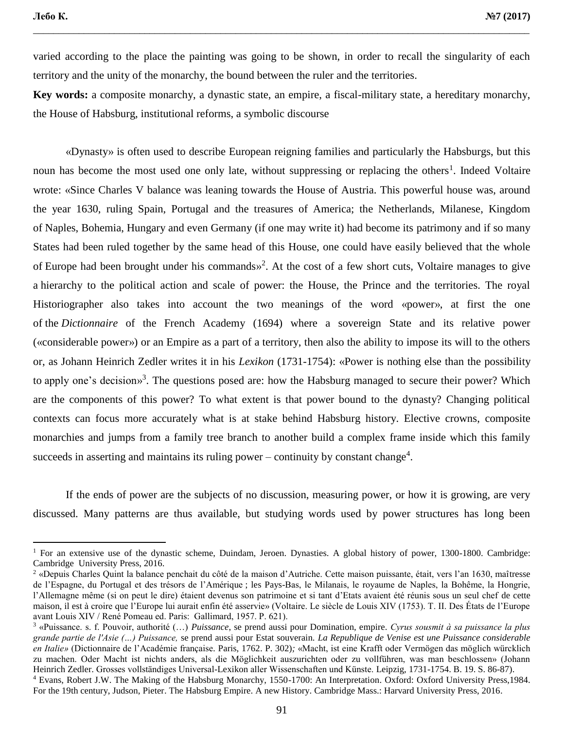varied according to the place the painting was going to be shown, in order to recall the singularity of each territory and the unity of the monarchy, the bound between the ruler and the territories.

\_\_\_\_\_\_\_\_\_\_\_\_\_\_\_\_\_\_\_\_\_\_\_\_\_\_\_\_\_\_\_\_\_\_\_\_\_\_\_\_\_\_\_\_\_\_\_\_\_\_\_\_\_\_\_\_\_\_\_\_\_\_\_\_\_\_\_\_\_\_\_\_\_\_\_\_\_\_\_\_\_\_\_\_\_\_\_\_\_\_\_\_\_\_\_\_\_\_

**Key words:** a composite monarchy, a dynastic state, an empire, a fiscal-military state, a hereditary monarchy, the House of Habsburg, institutional reforms, a symbolic discourse

«Dynasty» is often used to describe European reigning families and particularly the Habsburgs, but this noun has become the most used one only late, without suppressing or replacing the others<sup>1</sup>. Indeed Voltaire wrote: «Since Charles V balance was leaning towards the House of Austria. This powerful house was, around the year 1630, ruling Spain, Portugal and the treasures of America; the Netherlands, Milanese, Kingdom of Naples, Bohemia, Hungary and even Germany (if one may write it) had become its patrimony and if so many States had been ruled together by the same head of this House, one could have easily believed that the whole of Europe had been brought under his commands»<sup>2</sup>. At the cost of a few short cuts, Voltaire manages to give a hierarchy to the political action and scale of power: the House, the Prince and the territories. The royal Historiographer also takes into account the two meanings of the word «power», at first the one of the *Dictionnaire* of the French Academy (1694) where a sovereign State and its relative power («considerable power») or an Empire as a part of a territory, then also the ability to impose its will to the others or, as Johann Heinrich Zedler writes it in his *Lexikon* (1731-1754): «Power is nothing else than the possibility to apply one's decision»<sup>3</sup>. The questions posed are: how the Habsburg managed to secure their power? Which are the components of this power? To what extent is that power bound to the dynasty? Changing political contexts can focus more accurately what is at stake behind Habsburg history. Elective crowns, composite monarchies and jumps from a family tree branch to another build a complex frame inside which this family succeeds in asserting and maintains its ruling power – continuity by constant change<sup>4</sup>.

If the ends of power are the subjects of no discussion, measuring power, or how it is growing, are very discussed. Many patterns are thus available, but studying words used by power structures has long been

<sup>&</sup>lt;sup>1</sup> For an extensive use of the dynastic scheme, Duindam, Jeroen. Dynasties. A global history of power, 1300-1800. Cambridge: Cambridge University Press, 2016.

<sup>2</sup> «Depuis Charles Quint la balance penchait du côté de la maison d'Autriche. Cette maison puissante, était, vers l'an 1630, maîtresse de l'Espagne, du Portugal et des trésors de l'Amérique ; les Pays-Bas, le Milanais, le royaume de Naples, la Bohême, la Hongrie, l'Allemagne même (si on peut le dire) étaient devenus son patrimoine et si tant d'Etats avaient été réunis sous un seul chef de cette maison, il est à croire que l'Europe lui aurait enfin été asservie» (Voltaire. Le siècle de Louis XIV (1753). T. II. Des États de l'Europe avant Louis XIV / René Pomeau ed. Paris: Gallimard, 1957. P. 621).

<sup>3</sup> «Puissance. s. f. Pouvoir, authorité (…) *Puissance*, se prend aussi pour Domination, empire. *Cyrus sousmit à sa puissance la plus grande partie de l'Asie (…) Puissance,* se prend aussi pour Estat souverain. *La Republique de Venise est une Puissance considerable en Italie»* (Dictionnaire de l'Académie française*.* Paris, 1762. P. 302)*;* «Macht, ist eine Krafft oder Vermögen das möglich würcklich zu machen. Oder Macht ist nichts anders, als die Möglichkeit auszurichten oder zu vollführen, was man beschlossen» (Johann Heinrich Zedler. Grosses vollständiges Universal-Lexikon aller Wissenschaften und Künste. Leipzig, 1731-1754. B. 19. S. 86-87). <sup>4</sup> Evans, Robert J.W. The Making of the Habsburg Monarchy, 1550-1700: An Interpretation. Oxford: Oxford University Press,1984. For the 19th century, Judson, Pieter. The Habsburg Empire. A new History. Cambridge Mass.: Harvard University Press, 2016.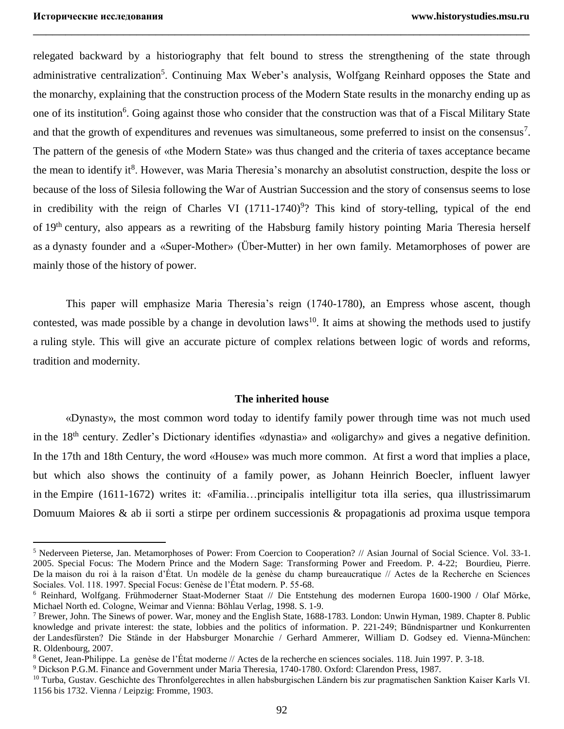relegated backward by a historiography that felt bound to stress the strengthening of the state through administrative centralization<sup>5</sup>. Continuing Max Weber's analysis, Wolfgang Reinhard opposes the State and the monarchy, explaining that the construction process of the Modern State results in the monarchy ending up as one of its institution<sup>6</sup>. Going against those who consider that the construction was that of a Fiscal Military State and that the growth of expenditures and revenues was simultaneous, some preferred to insist on the consensus<sup>7</sup>. The pattern of the genesis of «the Modern State» was thus changed and the criteria of taxes acceptance became the mean to identify it<sup>8</sup>. However, was Maria Theresia's monarchy an absolutist construction, despite the loss or because of the loss of Silesia following the War of Austrian Succession and the story of consensus seems to lose in credibility with the reign of Charles VI  $(1711-1740)^9$ ? This kind of story-telling, typical of the end of 19th century, also appears as a rewriting of the Habsburg family history pointing Maria Theresia herself as a dynasty founder and a «Super-Mother» (Über-Mutter) in her own family. Metamorphoses of power are mainly those of the history of power.

\_\_\_\_\_\_\_\_\_\_\_\_\_\_\_\_\_\_\_\_\_\_\_\_\_\_\_\_\_\_\_\_\_\_\_\_\_\_\_\_\_\_\_\_\_\_\_\_\_\_\_\_\_\_\_\_\_\_\_\_\_\_\_\_\_\_\_\_\_\_\_\_\_\_\_\_\_

This paper will emphasize Maria Theresia's reign (1740-1780), an Empress whose ascent, though contested, was made possible by a change in devolution laws<sup>10</sup>. It aims at showing the methods used to justify a ruling style. This will give an accurate picture of complex relations between logic of words and reforms, tradition and modernity.

#### **The inherited house**

«Dynasty», the most common word today to identify family power through time was not much used in the 18<sup>th</sup> century. Zedler's Dictionary identifies «dynastia» and «oligarchy» and gives a negative definition. In the 17th and 18th Century, the word «House» was much more common. At first a word that implies a place, but which also shows the continuity of a family power, as Johann Heinrich Boecler, influent lawyer in the Empire (1611-1672) writes it: «Familia…principalis intelligitur tota illa series, qua illustrissimarum Domuum Maiores & ab ii sorti a stirpe per ordinem successionis & propagationis ad proxima usque tempora

<sup>5</sup> Nederveen Pieterse, Jan. Metamorphoses of Power: From Coercion to Cooperation? // Asian Journal of Social Science. Vol. 33-1. 2005. Special Focus: The Modern Prince and the Modern Sage: Transforming Power and Freedom. P. 4-22; Bourdieu, Pierre. De la maison du roi à la raison d'État. Un modèle de la genèse du champ bureaucratique // Actes de la Recherche en Sciences Sociales. Vol. 118. 1997. Special Focus: Genèse de l'État modern. P. 55-68.

<sup>6</sup> Reinhard, Wolfgang. Frühmoderner Staat-Moderner Staat // Die Entstehung des modernen Europa 1600-1900 / Olaf Mörke, Michael North ed. Cologne, Weimar and Vienna: Böhlau Verlag, 1998. S. 1-9.

<sup>7</sup> Brewer, John. The Sinews of power. War, money and the English State, 1688-1783. London: Unwin Hyman, 1989. Chapter 8. Public knowledge and private interest: the state, lobbies and the politics of information. P. 221-249; Bündnispartner und Konkurrenten der Landesfürsten? Die Stände in der Habsburger Monarchie / Gerhard Ammerer, William D. Godsey ed. Vienna-München: R. Oldenbourg, 2007.

<sup>8</sup> Genet, Jean-Philippe. La genèse de l'État moderne // Actes de la recherche en sciences sociales. 118. Juin 1997. P. 3-18.

<sup>9</sup> Dickson P.G.M. Finance and Government under Maria Theresia, 1740-1780. Oxford: Clarendon Press, 1987.

<sup>&</sup>lt;sup>10</sup> Turba, Gustav. Geschichte des Thronfolgerechtes in allen habsburgischen Ländern bis zur pragmatischen Sanktion Kaiser Karls VI. 1156 bis 1732. Vienna / Leipzig: Fromme, 1903.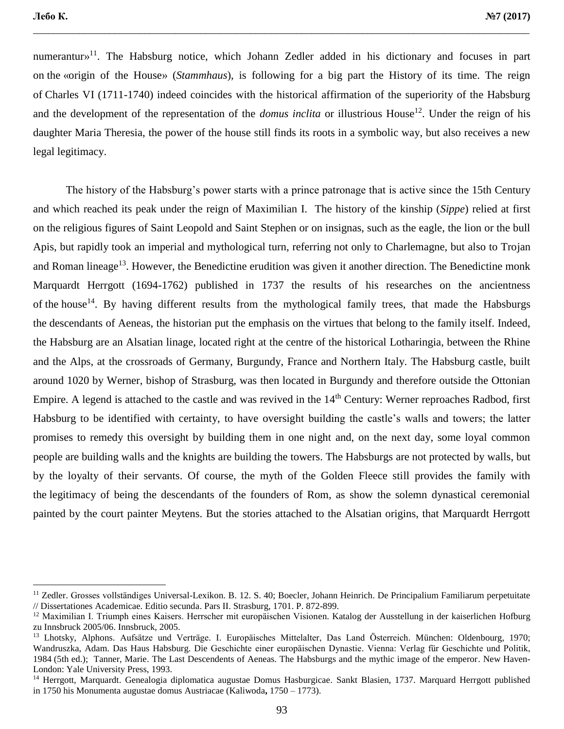numerantur»<sup>11</sup>. The Habsburg notice, which Johann Zedler added in his dictionary and focuses in part on the «origin of the House» (*Stammhaus*), is following for a big part the History of its time. The reign of Charles VI (1711-1740) indeed coincides with the historical affirmation of the superiority of the Habsburg and the development of the representation of the *domus inclita* or illustrious House<sup>12</sup>. Under the reign of his daughter Maria Theresia, the power of the house still finds its roots in a symbolic way, but also receives a new legal legitimacy.

\_\_\_\_\_\_\_\_\_\_\_\_\_\_\_\_\_\_\_\_\_\_\_\_\_\_\_\_\_\_\_\_\_\_\_\_\_\_\_\_\_\_\_\_\_\_\_\_\_\_\_\_\_\_\_\_\_\_\_\_\_\_\_\_\_\_\_\_\_\_\_\_\_\_\_\_\_\_\_\_\_\_\_\_\_\_\_\_\_\_\_\_\_\_\_\_\_\_

The history of the Habsburg's power starts with a prince patronage that is active since the 15th Century and which reached its peak under the reign of Maximilian I. The history of the kinship (*Sippe*) relied at first on the religious figures of Saint Leopold and Saint Stephen or on insignas, such as the eagle, the lion or the bull Apis, but rapidly took an imperial and mythological turn, referring not only to Charlemagne, but also to Trojan and Roman lineage<sup>13</sup>. However, the Benedictine erudition was given it another direction. The Benedictine monk Marquardt Herrgott (1694-1762) published in 1737 the results of his researches on the ancientness of the house<sup>14</sup>. By having different results from the mythological family trees, that made the Habsburgs the descendants of Aeneas, the historian put the emphasis on the virtues that belong to the family itself. Indeed, the Habsburg are an Alsatian linage, located right at the centre of the historical Lotharingia, between the Rhine and the Alps, at the crossroads of Germany, Burgundy, France and Northern Italy. The Habsburg castle, built around 1020 by Werner, bishop of Strasburg, was then located in Burgundy and therefore outside the Ottonian Empire. A legend is attached to the castle and was revived in the 14<sup>th</sup> Century: Werner reproaches Radbod, first Habsburg to be identified with certainty, to have oversight building the castle's walls and towers; the latter promises to remedy this oversight by building them in one night and, on the next day, some loyal common people are building walls and the knights are building the towers. The Habsburgs are not protected by walls, but by the loyalty of their servants. Of course, the myth of the Golden Fleece still provides the family with the legitimacy of being the descendants of the founders of Rom, as show the solemn dynastical ceremonial painted by the court painter Meytens. But the stories attached to the Alsatian origins, that Marquardt Herrgott

<sup>&</sup>lt;sup>11</sup> Zedler. Grosses vollständiges Universal-Lexikon. B. 12. S. 40; Boecler, Johann Heinrich. De Principalium Familiarum perpetuitate // Dissertationes Academicae. Editio secunda. Pars II. Strasburg, 1701. P. 872-899.

<sup>12</sup> Maximilian I. Triumph eines Kaisers. Herrscher mit europäischen Visionen. Katalog der Ausstellung in der kaiserlichen Hofburg zu Innsbruck 2005/06. Innsbruck, 2005.

<sup>13</sup> Lhotsky, Alphons. Aufsätze und Verträge. I. Europäisches Mittelalter, Das Land Österreich. München: Oldenbourg, 1970; Wandruszka, Adam. Das Haus Habsburg. Die Geschichte einer europäischen Dynastie. Vienna: Verlag für Geschichte und Politik, 1984 (5th ed.); Tanner, Marie. The Last Descendents of Aeneas. The Habsburgs and the mythic image of the emperor. New Haven-London: Yale University Press, 1993.

<sup>&</sup>lt;sup>14</sup> Herrgott, Marquardt. Genealogia diplomatica augustae Domus Hasburgicae. Sankt Blasien, 1737. Marquard Herrgott published in 1750 his Monumenta augustae domus Austriacae (Kaliwoda**,** 1750 – 1773).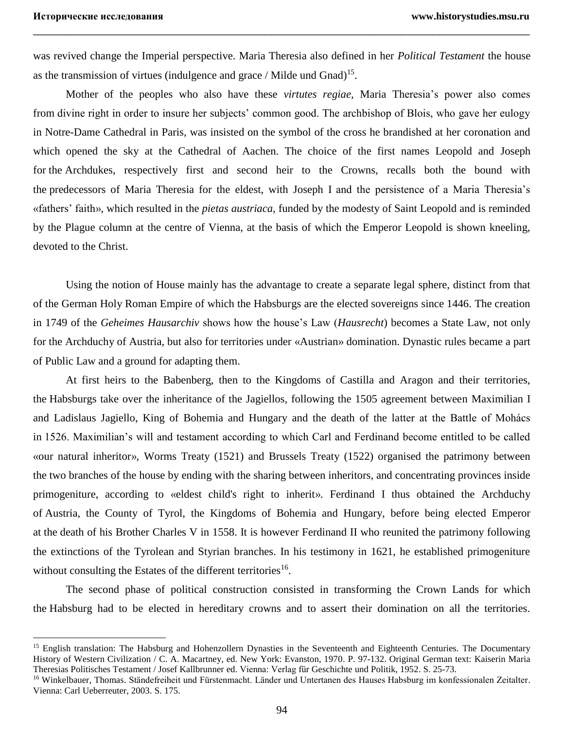was revived change the Imperial perspective. Maria Theresia also defined in her *Political Testament* the house as the transmission of virtues (indulgence and grace / Milde und Gnad)<sup>15</sup>.

\_\_\_\_\_\_\_\_\_\_\_\_\_\_\_\_\_\_\_\_\_\_\_\_\_\_\_\_\_\_\_\_\_\_\_\_\_\_\_\_\_\_\_\_\_\_\_\_\_\_\_\_\_\_\_\_\_\_\_\_\_\_\_\_\_\_\_\_\_\_\_\_\_\_\_\_\_

Mother of the peoples who also have these *virtutes regiae*, Maria Theresia's power also comes from divine right in order to insure her subjects' common good. The archbishop of Blois, who gave her eulogy in Notre-Dame Cathedral in Paris, was insisted on the symbol of the cross he brandished at her coronation and which opened the sky at the Cathedral of Aachen. The choice of the first names Leopold and Joseph for the Archdukes, respectively first and second heir to the Crowns, recalls both the bound with the predecessors of Maria Theresia for the eldest, with Joseph I and the persistence of a Maria Theresia's «fathers' faith», which resulted in the *pietas austriaca*, funded by the modesty of Saint Leopold and is reminded by the Plague column at the centre of Vienna, at the basis of which the Emperor Leopold is shown kneeling, devoted to the Christ.

Using the notion of House mainly has the advantage to create a separate legal sphere, distinct from that of the German Holy Roman Empire of which the Habsburgs are the elected sovereigns since 1446. The creation in 1749 of the *Geheimes Hausarchiv* shows how the house's Law (*Hausrecht*) becomes a State Law, not only for the Archduchy of Austria, but also for territories under «Austrian» domination. Dynastic rules became a part of Public Law and a ground for adapting them.

At first heirs to the Babenberg, then to the Kingdoms of Castilla and Aragon and their territories, the Habsburgs take over the inheritance of the Jagiellos, following the 1505 agreement between Maximilian I and Ladislaus Jagiello, King of Bohemia and Hungary and the death of the latter at the Battle of Mohács in 1526. Maximilian's will and testament according to which Carl and Ferdinand become entitled to be called «our natural inheritor», Worms Treaty (1521) and Brussels Treaty (1522) organised the patrimony between the two branches of the house by ending with the sharing between inheritors, and concentrating provinces inside primogeniture, according to «eldest child's right to inherit». Ferdinand I thus obtained the Archduchy of Austria, the County of Tyrol, the Kingdoms of Bohemia and Hungary, before being elected Emperor at the death of his Brother Charles V in 1558. It is however Ferdinand II who reunited the patrimony following the extinctions of the Tyrolean and Styrian branches. In his testimony in 1621, he established primogeniture without consulting the Estates of the different territories<sup>16</sup>.

The second phase of political construction consisted in transforming the Crown Lands for which the Habsburg had to be elected in hereditary crowns and to assert their domination on all the territories.

<sup>&</sup>lt;sup>15</sup> English translation: The Habsburg and Hohenzollern Dynasties in the Seventeenth and Eighteenth Centuries. The Documentary History of Western Civilization / C. A. Macartney, ed. New York: Evanston, 1970. P. 97-132. Original German text: Kaiserin Maria Theresias Politisches Testament / Josef Kallbrunner ed. Vienna: Verlag für Geschichte und Politik, 1952. S. 25-73.

<sup>16</sup> Winkelbauer, Thomas. Ständefreiheit und Fürstenmacht. Länder und Untertanen des Hauses Habsburg im konfessionalen Zeitalter. Vienna: Carl Ueberreuter, 2003. S. 175.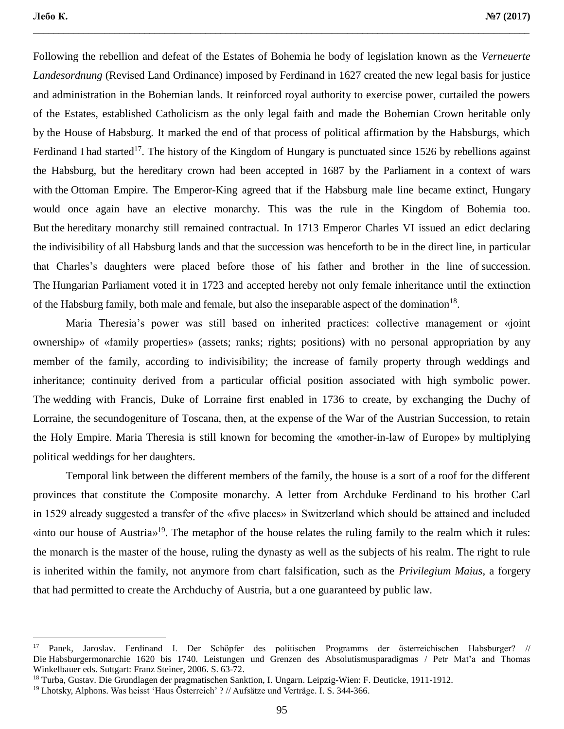Following the rebellion and defeat of the Estates of Bohemia he body of legislation known as the *Verneuerte Landesordnung* (Revised Land Ordinance) imposed by Ferdinand in 1627 created the new legal basis for justice and administration in the Bohemian lands. It reinforced royal authority to exercise power, curtailed the powers of the Estates, established Catholicism as the only legal faith and made the Bohemian Crown heritable only by the House of Habsburg. It marked the end of that process of political affirmation by the Habsburgs, which Ferdinand I had started<sup>17</sup>. The history of the Kingdom of Hungary is punctuated since 1526 by rebellions against the Habsburg, but the hereditary crown had been accepted in 1687 by the Parliament in a context of wars with the Ottoman Empire. The Emperor-King agreed that if the Habsburg male line became extinct, Hungary would once again have an elective monarchy. This was the rule in the Kingdom of Bohemia too. But the hereditary monarchy still remained contractual. In 1713 Emperor Charles VI issued an edict declaring the indivisibility of all Habsburg lands and that the succession was henceforth to be in the direct line, in particular that Charles's daughters were placed before those of his father and brother in the line of succession. The Hungarian Parliament voted it in 1723 and accepted hereby not only female inheritance until the extinction of the Habsburg family, both male and female, but also the inseparable aspect of the domination<sup>18</sup>.

\_\_\_\_\_\_\_\_\_\_\_\_\_\_\_\_\_\_\_\_\_\_\_\_\_\_\_\_\_\_\_\_\_\_\_\_\_\_\_\_\_\_\_\_\_\_\_\_\_\_\_\_\_\_\_\_\_\_\_\_\_\_\_\_\_\_\_\_\_\_\_\_\_\_\_\_\_\_\_\_\_\_\_\_\_\_\_\_\_\_\_\_\_\_\_\_\_\_

Maria Theresia's power was still based on inherited practices: collective management or «joint ownership» of «family properties» (assets; ranks; rights; positions) with no personal appropriation by any member of the family, according to indivisibility; the increase of family property through weddings and inheritance; continuity derived from a particular official position associated with high symbolic power. The wedding with Francis, Duke of Lorraine first enabled in 1736 to create, by exchanging the Duchy of Lorraine, the secundogeniture of Toscana, then, at the expense of the War of the Austrian Succession, to retain the Holy Empire. Maria Theresia is still known for becoming the «mother-in-law of Europe» by multiplying political weddings for her daughters.

Temporal link between the different members of the family, the house is a sort of a roof for the different provinces that constitute the Composite monarchy. A letter from Archduke Ferdinand to his brother Carl in 1529 already suggested a transfer of the «five places» in Switzerland which should be attained and included «into our house of Austria»<sup>19</sup>. The metaphor of the house relates the ruling family to the realm which it rules: the monarch is the master of the house, ruling the dynasty as well as the subjects of his realm. The right to rule is inherited within the family, not anymore from chart falsification, such as the *Privilegium Maius*, a forgery that had permitted to create the Archduchy of Austria, but a one guaranteed by public law.

<sup>17</sup> Panek, Jaroslav. Ferdinand I. Der Schöpfer des politischen Programms der österreichischen Habsburger? // Die Habsburgermonarchie 1620 bis 1740. Leistungen und Grenzen des Absolutismusparadigmas / Petr Mat'a and Thomas Winkelbauer eds. Suttgart: Franz Steiner, 2006. S. 63-72.

<sup>18</sup> Turba, Gustav. Die Grundlagen der pragmatischen Sanktion, I. Ungarn. Leipzig-Wien: F. Deuticke, 1911-1912.

<sup>&</sup>lt;sup>19</sup> Lhotsky, Alphons. Was heisst 'Haus Österreich' ? // Aufsätze und Verträge. I. S. 344-366.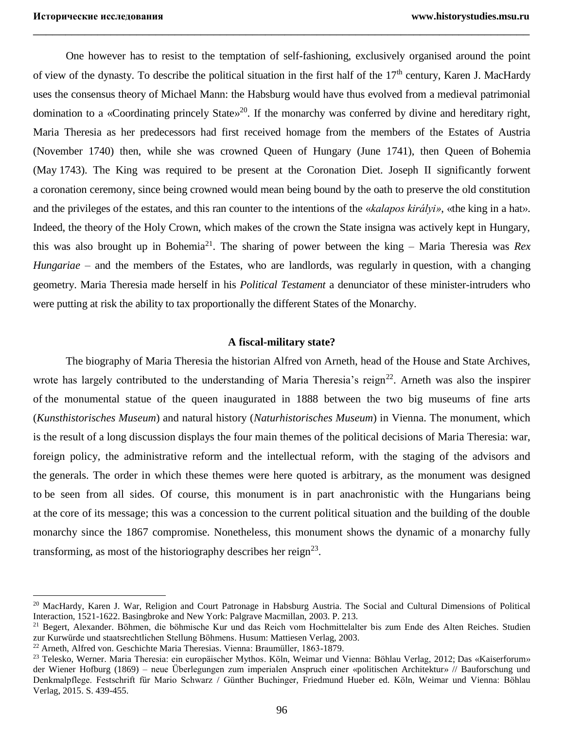One however has to resist to the temptation of self-fashioning, exclusively organised around the point of view of the dynasty. To describe the political situation in the first half of the  $17<sup>th</sup>$  century, Karen J. MacHardy uses the consensus theory of Michael Mann: the Habsburg would have thus evolved from a medieval patrimonial domination to a «Coordinating princely State»<sup>20</sup>. If the monarchy was conferred by divine and hereditary right, Maria Theresia as her predecessors had first received homage from the members of the Estates of Austria (November 1740) then, while she was crowned Queen of Hungary (June 1741), then Queen of Bohemia (May 1743). The King was required to be present at the Coronation Diet. Joseph II significantly forwent a coronation ceremony, since being crowned would mean being bound by the oath to preserve the old constitution and the privileges of the estates, and this ran counter to the intentions of the «*kalapos királyi»*, «the king in a hat». Indeed, the theory of the Holy Crown, which makes of the crown the State insigna was actively kept in Hungary, this was also brought up in Bohemia<sup>21</sup>. The sharing of power between the king – Maria Theresia was *Rex Hungariae* – and the members of the Estates, who are landlords, was regularly in question, with a changing geometry. Maria Theresia made herself in his *Political Testament* a denunciator of these minister-intruders who were putting at risk the ability to tax proportionally the different States of the Monarchy.

\_\_\_\_\_\_\_\_\_\_\_\_\_\_\_\_\_\_\_\_\_\_\_\_\_\_\_\_\_\_\_\_\_\_\_\_\_\_\_\_\_\_\_\_\_\_\_\_\_\_\_\_\_\_\_\_\_\_\_\_\_\_\_\_\_\_\_\_\_\_\_\_\_\_\_\_\_

#### **A fiscal-military state?**

The biography of Maria Theresia the historian Alfred von Arneth, head of the House and State Archives, wrote has largely contributed to the understanding of Maria Theresia's reign<sup>22</sup>. Arneth was also the inspirer of the monumental statue of the queen inaugurated in 1888 between the two big museums of fine arts (*Kunsthistorisches Museum*) and natural history (*Naturhistorisches Museum*) in Vienna. The monument, which is the result of a long discussion displays the four main themes of the political decisions of Maria Theresia: war, foreign policy, the administrative reform and the intellectual reform, with the staging of the advisors and the generals. The order in which these themes were here quoted is arbitrary, as the monument was designed to be seen from all sides. Of course, this monument is in part anachronistic with the Hungarians being at the core of its message; this was a concession to the current political situation and the building of the double monarchy since the 1867 compromise. Nonetheless, this monument shows the dynamic of a monarchy fully transforming, as most of the historiography describes her reign<sup>23</sup>.

 $\overline{a}$ 

<sup>&</sup>lt;sup>20</sup> MacHardy, Karen J. War, Religion and Court Patronage in Habsburg Austria. The Social and Cultural Dimensions of Political Interaction, 1521-1622. Basingbroke and New York: Palgrave Macmillan, 2003. P. 213.

<sup>&</sup>lt;sup>21</sup> Begert, Alexander. Böhmen, die böhmische Kur und das Reich vom Hochmittelalter bis zum Ende des Alten Reiches. Studien zur Kurwürde und staatsrechtlichen Stellung Böhmens. Husum: Mattiesen Verlag, 2003.

<sup>22</sup> Arneth, Alfred von. Geschichte Maria Theresias. Vienna: Braumüller, 1863-1879.

<sup>&</sup>lt;sup>23</sup> Telesko, Werner. Maria Theresia: ein europäischer Mythos. Köln, Weimar und Vienna: Böhlau Verlag, 2012; Das «Kaiserforum» der Wiener Hofburg (1869) – neue Überlegungen zum imperialen Anspruch einer «politischen Architektur» // Bauforschung und Denkmalpflege. Festschrift für Mario Schwarz / Günther Buchinger, Friedmund Hueber ed. Köln, Weimar und Vienna: Böhlau Verlag, 2015. S. 439-455.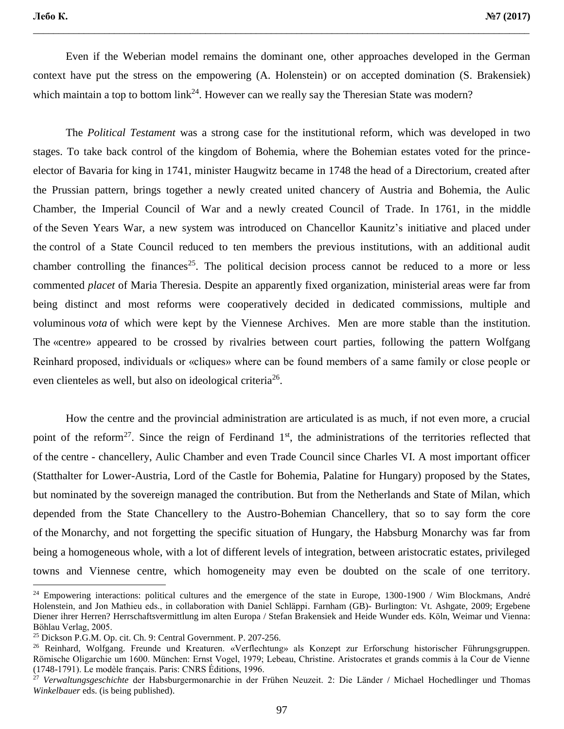Even if the Weberian model remains the dominant one, other approaches developed in the German context have put the stress on the empowering (A. Holenstein) or on accepted domination (S. Brakensiek) which maintain a top to bottom  $link^{24}$ . However can we really say the Theresian State was modern?

\_\_\_\_\_\_\_\_\_\_\_\_\_\_\_\_\_\_\_\_\_\_\_\_\_\_\_\_\_\_\_\_\_\_\_\_\_\_\_\_\_\_\_\_\_\_\_\_\_\_\_\_\_\_\_\_\_\_\_\_\_\_\_\_\_\_\_\_\_\_\_\_\_\_\_\_\_\_\_\_\_\_\_\_\_\_\_\_\_\_\_\_\_\_\_\_\_\_

The *Political Testament* was a strong case for the institutional reform, which was developed in two stages. To take back control of the kingdom of Bohemia, where the Bohemian estates voted for the princeelector of Bavaria for king in 1741, minister Haugwitz became in 1748 the head of a Directorium, created after the Prussian pattern, brings together a newly created united chancery of Austria and Bohemia, the Aulic Chamber, the Imperial Council of War and a newly created Council of Trade. In 1761, in the middle of the Seven Years War, a new system was introduced on Chancellor Kaunitz's initiative and placed under the control of a State Council reduced to ten members the previous institutions, with an additional audit chamber controlling the finances<sup>25</sup>. The political decision process cannot be reduced to a more or less commented *placet* of Maria Theresia. Despite an apparently fixed organization, ministerial areas were far from being distinct and most reforms were cooperatively decided in dedicated commissions, multiple and voluminous *vota* of which were kept by the Viennese Archives. Men are more stable than the institution. The «centre» appeared to be crossed by rivalries between court parties, following the pattern Wolfgang Reinhard proposed, individuals or «cliques» where can be found members of a same family or close people or even clienteles as well, but also on ideological criteria<sup>26</sup>.

How the centre and the provincial administration are articulated is as much, if not even more, a crucial point of the reform<sup>27</sup>. Since the reign of Ferdinand 1<sup>st</sup>, the administrations of the territories reflected that of the centre - chancellery, Aulic Chamber and even Trade Council since Charles VI. A most important officer (Statthalter for Lower-Austria, Lord of the Castle for Bohemia, Palatine for Hungary) proposed by the States, but nominated by the sovereign managed the contribution. But from the Netherlands and State of Milan, which depended from the State Chancellery to the Austro-Bohemian Chancellery, that so to say form the core of the Monarchy, and not forgetting the specific situation of Hungary, the Habsburg Monarchy was far from being a homogeneous whole, with a lot of different levels of integration, between aristocratic estates, privileged towns and Viennese centre, which homogeneity may even be doubted on the scale of one territory.

 $24$  Empowering interactions: political cultures and the emergence of the state in Europe, 1300-1900 / Wim Blockmans, André Holenstein, and Jon Mathieu eds., in collaboration with Daniel Schläppi. Farnham (GB)- Burlington: Vt. Ashgate, 2009; Ergebene Diener ihrer Herren? Herrschaftsvermittlung im alten Europa / Stefan Brakensiek and Heide Wunder eds. Köln, Weimar und Vienna: Böhlau Verlag, 2005.

<sup>25</sup> Dickson P.G.M. Op. cit. Ch. 9: Central Government. P. 207-256.

<sup>&</sup>lt;sup>26</sup> Reinhard, Wolfgang. Freunde und Kreaturen. «Verflechtung» als Konzept zur Erforschung historischer Führungsgruppen. Römische Oligarchie um 1600. München: Ernst Vogel, 1979; Lebeau, Christine. Aristocrates et grands commis à la Cour de Vienne (1748-1791). Le modèle français. Paris: CNRS Éditions, 1996.

<sup>27</sup> *Verwaltungsgeschichte* der Habsburgermonarchie in der Frühen Neuzeit. 2: Die Länder / Michael Hochedlinger und Thomas *Winkelbauer* eds. (is being published).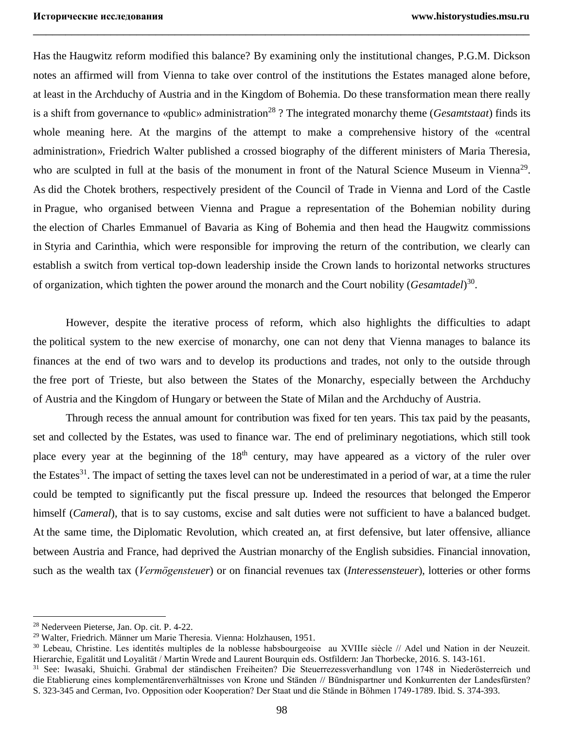Has the Haugwitz reform modified this balance? By examining only the institutional changes, P.G.M. Dickson notes an affirmed will from Vienna to take over control of the institutions the Estates managed alone before, at least in the Archduchy of Austria and in the Kingdom of Bohemia. Do these transformation mean there really is a shift from governance to «public» administration<sup>28</sup>? The integrated monarchy theme (*Gesamtstaat*) finds its whole meaning here. At the margins of the attempt to make a comprehensive history of the «central administration», Friedrich Walter published a crossed biography of the different ministers of Maria Theresia, who are sculpted in full at the basis of the monument in front of the Natural Science Museum in Vienna<sup>29</sup>. As did the Chotek brothers, respectively president of the Council of Trade in Vienna and Lord of the Castle in Prague, who organised between Vienna and Prague a representation of the Bohemian nobility during the election of Charles Emmanuel of Bavaria as King of Bohemia and then head the Haugwitz commissions in Styria and Carinthia, which were responsible for improving the return of the contribution, we clearly can establish a switch from vertical top-down leadership inside the Crown lands to horizontal networks structures of organization, which tighten the power around the monarch and the Court nobility (*Gesamtadel*) 30 .

\_\_\_\_\_\_\_\_\_\_\_\_\_\_\_\_\_\_\_\_\_\_\_\_\_\_\_\_\_\_\_\_\_\_\_\_\_\_\_\_\_\_\_\_\_\_\_\_\_\_\_\_\_\_\_\_\_\_\_\_\_\_\_\_\_\_\_\_\_\_\_\_\_\_\_\_\_

However, despite the iterative process of reform, which also highlights the difficulties to adapt the political system to the new exercise of monarchy, one can not deny that Vienna manages to balance its finances at the end of two wars and to develop its productions and trades, not only to the outside through the free port of Trieste, but also between the States of the Monarchy, especially between the Archduchy of Austria and the Kingdom of Hungary or between the State of Milan and the Archduchy of Austria.

Through recess the annual amount for contribution was fixed for ten years. This tax paid by the peasants, set and collected by the Estates, was used to finance war. The end of preliminary negotiations, which still took place every year at the beginning of the  $18<sup>th</sup>$  century, may have appeared as a victory of the ruler over the Estates<sup>31</sup>. The impact of setting the taxes level can not be underestimated in a period of war, at a time the ruler could be tempted to significantly put the fiscal pressure up. Indeed the resources that belonged the Emperor himself *(Cameral)*, that is to say customs, excise and salt duties were not sufficient to have a balanced budget. At the same time, the Diplomatic Revolution, which created an, at first defensive, but later offensive, alliance between Austria and France, had deprived the Austrian monarchy of the English subsidies. Financial innovation, such as the wealth tax (*Vermögensteuer*) or on financial revenues tax (*Interessensteuer*), lotteries or other forms

 $\overline{a}$ 

<sup>28</sup> Nederveen Pieterse, Jan. Op. cit. P. 4-22.

<sup>29</sup> Walter, Friedrich. Männer um Marie Theresia. Vienna: Holzhausen, 1951.

<sup>&</sup>lt;sup>30</sup> Lebeau, Christine. Les identités multiples de la noblesse habsbourgeoise au XVIIIe siècle // Adel und Nation in der Neuzeit. Hierarchie, Egalität und Loyalität / Martin Wrede and Laurent Bourquin eds. Ostfildern: Jan Thorbecke, 2016. S. 143-161.

<sup>31</sup> See: Iwasaki, Shuichi. Grabmal der ständischen Freiheiten? Die Steuerrezessverhandlung von 1748 in Niederösterreich und die Etablierung eines komplementärenverhältnisses von Krone und Ständen // Bündnispartner und Konkurrenten der Landesfürsten? S. 323-345 and Cerman, Ivo. Opposition oder Kooperation? Der Staat und die Stände in Böhmen 1749-1789. Ibid. S. 374-393.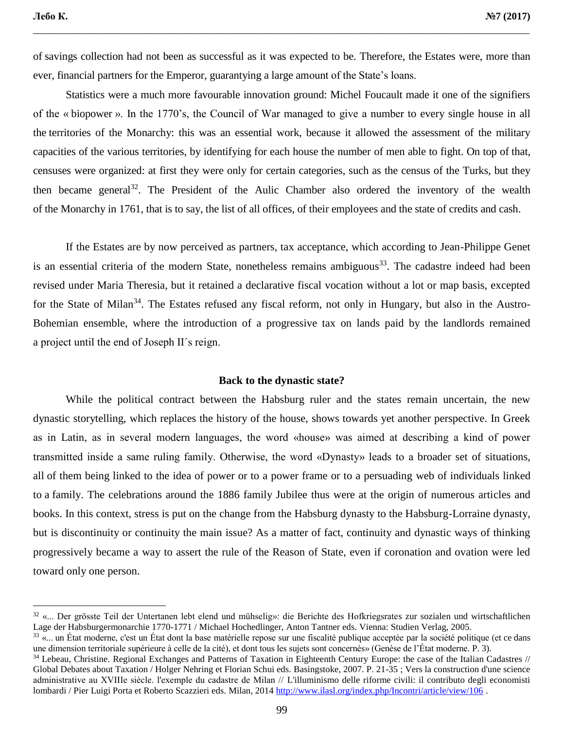of savings collection had not been as successful as it was expected to be. Therefore, the Estates were, more than ever, financial partners for the Emperor, guarantying a large amount of the State's loans.

\_\_\_\_\_\_\_\_\_\_\_\_\_\_\_\_\_\_\_\_\_\_\_\_\_\_\_\_\_\_\_\_\_\_\_\_\_\_\_\_\_\_\_\_\_\_\_\_\_\_\_\_\_\_\_\_\_\_\_\_\_\_\_\_\_\_\_\_\_\_\_\_\_\_\_\_\_\_\_\_\_\_\_\_\_\_\_\_\_\_\_\_\_\_\_\_\_\_

Statistics were a much more favourable innovation ground: Michel Foucault made it one of the signifiers of the « biopower ». In the 1770's, the Council of War managed to give a number to every single house in all the territories of the Monarchy: this was an essential work, because it allowed the assessment of the military capacities of the various territories, by identifying for each house the number of men able to fight. On top of that, censuses were organized: at first they were only for certain categories, such as the census of the Turks, but they then became general<sup>32</sup>. The President of the Aulic Chamber also ordered the inventory of the wealth of the Monarchy in 1761, that is to say, the list of all offices, of their employees and the state of credits and cash.

If the Estates are by now perceived as partners, tax acceptance, which according to Jean-Philippe Genet is an essential criteria of the modern State, nonetheless remains ambiguous<sup>33</sup>. The cadastre indeed had been revised under Maria Theresia, but it retained a declarative fiscal vocation without a lot or map basis, excepted for the State of Milan<sup>34</sup>. The Estates refused any fiscal reform, not only in Hungary, but also in the Austro-Bohemian ensemble, where the introduction of a progressive tax on lands paid by the landlords remained a project until the end of Joseph II´s reign.

#### **Back to the dynastic state?**

While the political contract between the Habsburg ruler and the states remain uncertain, the new dynastic storytelling, which replaces the history of the house, shows towards yet another perspective. In Greek as in Latin, as in several modern languages, the word «house» was aimed at describing a kind of power transmitted inside a same ruling family. Otherwise, the word «Dynasty» leads to a broader set of situations, all of them being linked to the idea of power or to a power frame or to a persuading web of individuals linked to a family. The celebrations around the 1886 family Jubilee thus were at the origin of numerous articles and books. In this context, stress is put on the change from the Habsburg dynasty to the Habsburg-Lorraine dynasty, but is discontinuity or continuity the main issue? As a matter of fact, continuity and dynastic ways of thinking progressively became a way to assert the rule of the Reason of State, even if coronation and ovation were led toward only one person.

<sup>32</sup> «... Der grösste Teil der Untertanen lebt elend und mühselig»: die Berichte des Hofkriegsrates zur sozialen und wirtschaftlichen Lage der Habsburgermonarchie 1770-1771 / Michael Hochedlinger, Anton Tantner eds. Vienna: Studien Verlag, 2005.

<sup>&</sup>lt;sup>33</sup> «... un État moderne, c'est un État dont la base matérielle repose sur une fiscalité publique acceptée par la société politique (et ce dans une dimension territoriale supérieure à celle de la cité), et dont tous les sujets sont concernés» (Genèse de l'État moderne. P. 3).

<sup>&</sup>lt;sup>34</sup> Lebeau, Christine. Regional Exchanges and Patterns of Taxation in Eighteenth Century Europe: the case of the Italian Cadastres // Global Debates about Taxation / Holger Nehring et Florian Schui eds. Basingstoke, 2007. P. 21-35 ; Vers la construction d'une science administrative au XVIIIe siècle. l'exemple du cadastre de Milan // L'illuminismo delle riforme civili: il contributo degli economisti lombardi / Pier Luigi Porta et Roberto Scazzieri eds. Milan, 201[4 http://www.ilasl.org/index.php/Incontri/article/view/106](http://www.ilasl.org/index.php/Incontri/article/view/106) .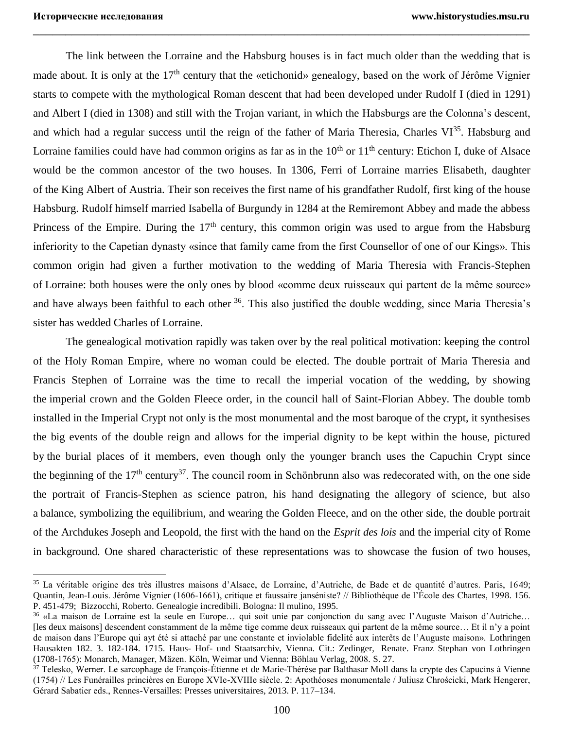The link between the Lorraine and the Habsburg houses is in fact much older than the wedding that is made about. It is only at the  $17<sup>th</sup>$  century that the «etichonid» genealogy, based on the work of Jérôme Vignier starts to compete with the mythological Roman descent that had been developed under Rudolf I (died in 1291) and Albert I (died in 1308) and still with the Trojan variant, in which the Habsburgs are the Colonna's descent, and which had a regular success until the reign of the father of Maria Theresia, Charles  $VI^{35}$ . Habsburg and Lorraine families could have had common origins as far as in the  $10<sup>th</sup>$  or  $11<sup>th</sup>$  century: Etichon I, duke of Alsace would be the common ancestor of the two houses. In 1306, Ferri of Lorraine marries Elisabeth, daughter of the King Albert of Austria. Their son receives the first name of his grandfather Rudolf, first king of the house Habsburg. Rudolf himself married Isabella of Burgundy in 1284 at the Remiremont Abbey and made the abbess Princess of the Empire. During the  $17<sup>th</sup>$  century, this common origin was used to argue from the Habsburg inferiority to the Capetian dynasty «since that family came from the first Counsellor of one of our Kings». This common origin had given a further motivation to the wedding of Maria Theresia with Francis-Stephen of Lorraine: both houses were the only ones by blood «comme deux ruisseaux qui partent de la même source» and have always been faithful to each other <sup>36</sup>. This also justified the double wedding, since Maria Theresia's sister has wedded Charles of Lorraine.

\_\_\_\_\_\_\_\_\_\_\_\_\_\_\_\_\_\_\_\_\_\_\_\_\_\_\_\_\_\_\_\_\_\_\_\_\_\_\_\_\_\_\_\_\_\_\_\_\_\_\_\_\_\_\_\_\_\_\_\_\_\_\_\_\_\_\_\_\_\_\_\_\_\_\_\_\_

The genealogical motivation rapidly was taken over by the real political motivation: keeping the control of the Holy Roman Empire, where no woman could be elected. The double portrait of Maria Theresia and Francis Stephen of Lorraine was the time to recall the imperial vocation of the wedding, by showing the imperial crown and the Golden Fleece order, in the council hall of Saint-Florian Abbey. The double tomb installed in the Imperial Crypt not only is the most monumental and the most baroque of the crypt, it synthesises the big events of the double reign and allows for the imperial dignity to be kept within the house, pictured by the burial places of it members, even though only the younger branch uses the Capuchin Crypt since the beginning of the  $17<sup>th</sup>$  century<sup>37</sup>. The council room in Schönbrunn also was redecorated with, on the one side the portrait of Francis-Stephen as science patron, his hand designating the allegory of science, but also a balance, symbolizing the equilibrium, and wearing the Golden Fleece, and on the other side, the double portrait of the Archdukes Joseph and Leopold, the first with the hand on the *Esprit des lois* and the imperial city of Rome in background. One shared characteristic of these representations was to showcase the fusion of two houses,

<sup>35</sup> La véritable origine des très illustres maisons d'Alsace, de Lorraine, d'Autriche, de Bade et de quantité d'autres. Paris, 1649; Quantin, Jean-Louis. Jérôme Vignier (1606-1661), critique et faussaire janséniste? // Bibliothèque de l'École des Chartes, 1998. 156. P. 451-479; Bizzocchi, Roberto. Genealogie incredibili. Bologna: Il mulino, 1995.

<sup>36</sup> «La maison de Lorraine est la seule en Europe… qui soit unie par conjonction du sang avec l'Auguste Maison d'Autriche… [les deux maisons] descendent constamment de la même tige comme deux ruisseaux qui partent de la même source… Et il n'y a point de maison dans l'Europe qui ayt été si attaché par une constante et inviolable fidelité aux interêts de l'Auguste maison». Lothringen Hausakten 182. 3. 182-184. 1715. Haus- Hof- und Staatsarchiv, Vienna. Cit.: Zedinger, Renate. Franz Stephan von Lothringen (1708-1765): Monarch, Manager, Mäzen. Köln, Weimar und Vienna: Böhlau Verlag, 2008. S. 27.

<sup>37</sup> Telesko, Werner. Le sarcophage de François-Étienne et de Marie-Thérèse par Balthasar Moll dans la crypte des Capucins à Vienne (1754) // Les Funérailles princières en Europe XVIe-XVIIIe siècle. 2: Apothéoses monumentale / Juliusz Chrościcki, Mark Hengerer, Gérard Sabatier eds., Rennes-Versailles: Presses universitaires, 2013. P. 117–134.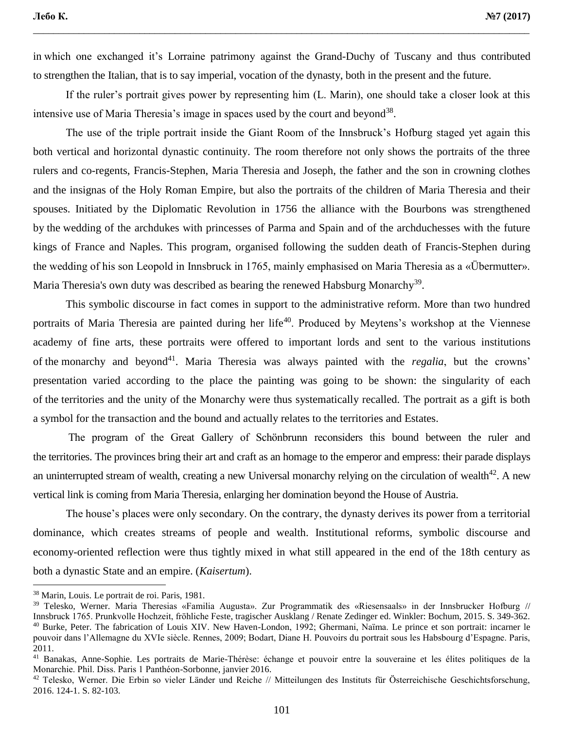in which one exchanged it's Lorraine patrimony against the Grand-Duchy of Tuscany and thus contributed to strengthen the Italian, that is to say imperial, vocation of the dynasty, both in the present and the future.

\_\_\_\_\_\_\_\_\_\_\_\_\_\_\_\_\_\_\_\_\_\_\_\_\_\_\_\_\_\_\_\_\_\_\_\_\_\_\_\_\_\_\_\_\_\_\_\_\_\_\_\_\_\_\_\_\_\_\_\_\_\_\_\_\_\_\_\_\_\_\_\_\_\_\_\_\_\_\_\_\_\_\_\_\_\_\_\_\_\_\_\_\_\_\_\_\_\_

If the ruler's portrait gives power by representing him (L. Marin), one should take a closer look at this intensive use of Maria Theresia's image in spaces used by the court and beyond<sup>38</sup>.

The use of the triple portrait inside the Giant Room of the Innsbruck's Hofburg staged yet again this both vertical and horizontal dynastic continuity. The room therefore not only shows the portraits of the three rulers and co-regents, Francis-Stephen, Maria Theresia and Joseph, the father and the son in crowning clothes and the insignas of the Holy Roman Empire, but also the portraits of the children of Maria Theresia and their spouses. Initiated by the Diplomatic Revolution in 1756 the alliance with the Bourbons was strengthened by the wedding of the archdukes with princesses of Parma and Spain and of the archduchesses with the future kings of France and Naples. This program, organised following the sudden death of Francis-Stephen during the wedding of his son Leopold in Innsbruck in 1765, mainly emphasised on Maria Theresia as a «Übermutter». Maria Theresia's own duty was described as bearing the renewed Habsburg Monarchy<sup>39</sup>.

This symbolic discourse in fact comes in support to the administrative reform. More than two hundred portraits of Maria Theresia are painted during her life<sup>40</sup>. Produced by Meytens's workshop at the Viennese academy of fine arts, these portraits were offered to important lords and sent to the various institutions of the monarchy and beyond<sup>41</sup>. Maria Theresia was always painted with the *regalia*, but the crowns' presentation varied according to the place the painting was going to be shown: the singularity of each of the territories and the unity of the Monarchy were thus systematically recalled. The portrait as a gift is both a symbol for the transaction and the bound and actually relates to the territories and Estates.

The program of the Great Gallery of Schönbrunn reconsiders this bound between the ruler and the territories. The provinces bring their art and craft as an homage to the emperor and empress: their parade displays an uninterrupted stream of wealth, creating a new Universal monarchy relying on the circulation of wealth<sup>42</sup>. A new vertical link is coming from Maria Theresia, enlarging her domination beyond the House of Austria.

The house's places were only secondary. On the contrary, the dynasty derives its power from a territorial dominance, which creates streams of people and wealth. Institutional reforms, symbolic discourse and economy-oriented reflection were thus tightly mixed in what still appeared in the end of the 18th century as both a dynastic State and an empire. (*Kaisertum*).

 $\overline{a}$ 

<sup>38</sup> Marin, Louis. Le portrait de roi. Paris, 1981.

<sup>39</sup> Telesko, Werner. Maria Theresias «Familia Augusta». Zur Programmatik des «Riesensaals» in der Innsbrucker Hofburg // Innsbruck 1765. Prunkvolle Hochzeit, fröhliche Feste, tragischer Ausklang / Renate Zedinger ed. Winkler: Bochum, 2015. S. 349-362. <sup>40</sup> Burke, Peter. The fabrication of Louis XIV. New Haven-London, 1992; Ghermani, Naïma. Le prince et son portrait: incarner le pouvoir dans l'Allemagne du XVIe siècle. Rennes, 2009; Bodart, Diane H. Pouvoirs du portrait sous les Habsbourg d'Espagne. Paris, 2011.

<sup>41</sup> Banakas, Anne-Sophie. Les portraits de Marie-Thérèse: échange et pouvoir entre la souveraine et les élites politiques de la Monarchie. Phil. Diss. Paris 1 Panthéon-Sorbonne, janvier 2016.

<sup>42</sup> Telesko, Werner. Die Erbin so vieler Länder und Reiche // Mitteilungen des Instituts für Österreichische Geschichtsforschung, 2016. 124-1. S. 82-103.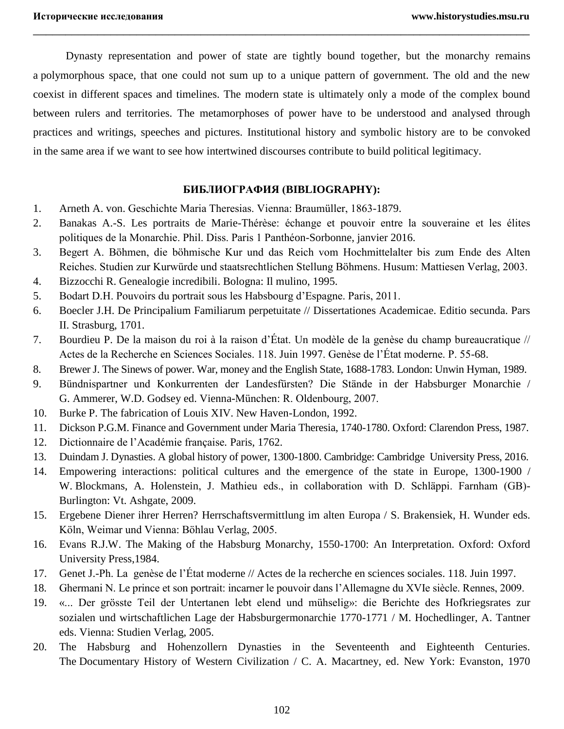Dynasty representation and power of state are tightly bound together, but the monarchy remains a polymorphous space, that one could not sum up to a unique pattern of government. The old and the new coexist in different spaces and timelines. The modern state is ultimately only a mode of the complex bound between rulers and territories. The metamorphoses of power have to be understood and analysed through practices and writings, speeches and pictures. Institutional history and symbolic history are to be convoked in the same area if we want to see how intertwined discourses contribute to build political legitimacy.

\_\_\_\_\_\_\_\_\_\_\_\_\_\_\_\_\_\_\_\_\_\_\_\_\_\_\_\_\_\_\_\_\_\_\_\_\_\_\_\_\_\_\_\_\_\_\_\_\_\_\_\_\_\_\_\_\_\_\_\_\_\_\_\_\_\_\_\_\_\_\_\_\_\_\_\_\_

## **БИБЛИОГРАФИЯ (BIBLIOGRAPHY):**

- 1. Arneth A. von. Geschichte Maria Theresias. Vienna: Braumüller, 1863-1879.
- 2. Banakas A.-S. Les portraits de Marie-Thérèse: échange et pouvoir entre la souveraine et les élites politiques de la Monarchie. Phil. Diss. Paris 1 Panthéon-Sorbonne, janvier 2016.
- 3. Begert A. Böhmen, die böhmische Kur und das Reich vom Hochmittelalter bis zum Ende des Alten Reiches. Studien zur Kurwürde und staatsrechtlichen Stellung Böhmens. Husum: Mattiesen Verlag, 2003.
- 4. Bizzocchi R. Genealogie incredibili. Bologna: Il mulino, 1995.
- 5. Bodart D.H. Pouvoirs du portrait sous les Habsbourg d'Espagne. Paris, 2011.
- 6. Boecler J.H. De Principalium Familiarum perpetuitate // Dissertationes Academicae. Editio secunda. Pars II. Strasburg, 1701.
- 7. Bourdieu P. De la maison du roi à la raison d'État. Un modèle de la genèse du champ bureaucratique // Actes de la Recherche en Sciences Sociales. 118. Juin 1997. Genèse de l'État moderne. P. 55-68.
- 8. Brewer J. The Sinews of power. War, money and the English State, 1688-1783. London: Unwin Hyman, 1989.
- 9. Bündnispartner und Konkurrenten der Landesfürsten? Die Stände in der Habsburger Monarchie / G. Ammerer, W.D. Godsey ed. Vienna-München: R. Oldenbourg, 2007.
- 10. Burke P. The fabrication of Louis XIV. New Haven-London, 1992.
- 11. Dickson P.G.M. Finance and Government under Maria Theresia, 1740-1780. Oxford: Clarendon Press, 1987.
- 12. Dictionnaire de l'Académie française*.* Paris, 1762.
- 13. Duindam J. Dynasties. A global history of power, 1300-1800. Cambridge: Cambridge University Press, 2016.
- 14. Empowering interactions: political cultures and the emergence of the state in Europe, 1300-1900 / W. Blockmans, A. Holenstein, J. Mathieu eds., in collaboration with D. Schläppi. Farnham (GB)- Burlington: Vt. Ashgate, 2009.
- 15. Ergebene Diener ihrer Herren? Herrschaftsvermittlung im alten Europa / S. Brakensiek, H. Wunder eds. Köln, Weimar und Vienna: Böhlau Verlag, 2005.
- 16. Evans R.J.W. The Making of the Habsburg Monarchy, 1550-1700: An Interpretation. Oxford: Oxford University Press,1984.
- 17. Genet J.-Ph. La genèse de l'État moderne // Actes de la recherche en sciences sociales. 118. Juin 1997.
- 18. Ghermani N. Le prince et son portrait: incarner le pouvoir dans l'Allemagne du XVIe siècle. Rennes, 2009.
- 19. «... Der grösste Teil der Untertanen lebt elend und mühselig»: die Berichte des Hofkriegsrates zur sozialen und wirtschaftlichen Lage der Habsburgermonarchie 1770-1771 / M. Hochedlinger, A. Tantner eds. Vienna: Studien Verlag, 2005.
- 20. The Habsburg and Hohenzollern Dynasties in the Seventeenth and Eighteenth Centuries*.* The Documentary History of Western Civilization / C. A. Macartney, ed. New York: Evanston, 1970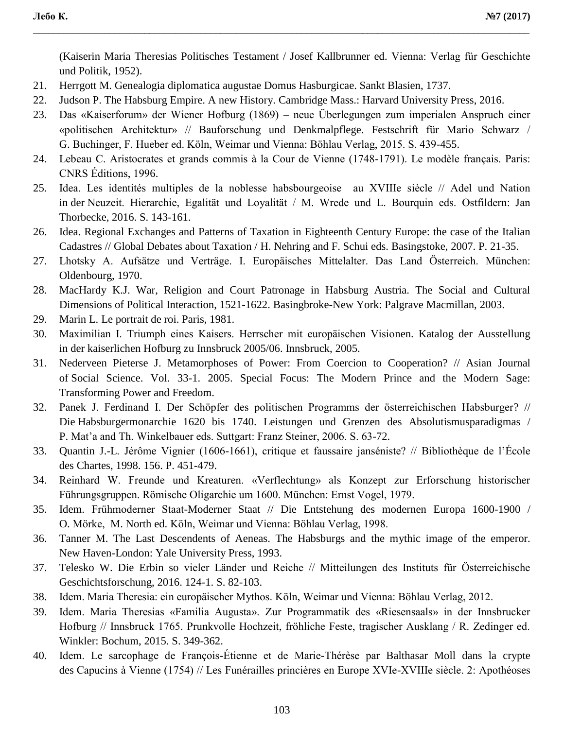(Kaiserin Maria Theresias Politisches Testament / Josef Kallbrunner ed. Vienna: Verlag für Geschichte und Politik, 1952).

- 21. Herrgott M. Genealogia diplomatica augustae Domus Hasburgicae. Sankt Blasien, 1737.
- 22. Judson P. The Habsburg Empire. A new History. Cambridge Mass.: Harvard University Press, 2016.
- 23. Das «Kaiserforum» der Wiener Hofburg (1869) neue Überlegungen zum imperialen Anspruch einer «politischen Architektur» // Bauforschung und Denkmalpflege. Festschrift für Mario Schwarz / G. Buchinger, F. Hueber ed. Köln, Weimar und Vienna: Böhlau Verlag, 2015. S. 439-455.

\_\_\_\_\_\_\_\_\_\_\_\_\_\_\_\_\_\_\_\_\_\_\_\_\_\_\_\_\_\_\_\_\_\_\_\_\_\_\_\_\_\_\_\_\_\_\_\_\_\_\_\_\_\_\_\_\_\_\_\_\_\_\_\_\_\_\_\_\_\_\_\_\_\_\_\_\_\_\_\_\_\_\_\_\_\_\_\_\_\_\_\_\_\_\_\_\_\_

- 24. Lebeau C. Aristocrates et grands commis à la Cour de Vienne (1748-1791). Le modèle français. Paris: CNRS Éditions, 1996.
- 25. Idea. Les identités multiples de la noblesse habsbourgeoise au XVIIIe siècle // Adel und Nation in der Neuzeit. Hierarchie, Egalität und Loyalität / M. Wrede und L. Bourquin eds. Ostfildern: Jan Thorbecke, 2016. S. 143-161.
- 26. Idea. Regional Exchanges and Patterns of Taxation in Eighteenth Century Europe: the case of the Italian Cadastres // Global Debates about Taxation / H. Nehring and F. Schui eds. Basingstoke, 2007. P. 21-35.
- 27. Lhotsky A. Aufsätze und Verträge. I. Europäisches Mittelalter. Das Land Österreich. München: Oldenbourg, 1970.
- 28. MacHardy K.J. War, Religion and Court Patronage in Habsburg Austria. The Social and Cultural Dimensions of Political Interaction, 1521-1622. Basingbroke-New York: Palgrave Macmillan, 2003.
- 29. Marin L. Le portrait de roi. Paris, 1981.
- 30. Maximilian I. Triumph eines Kaisers. Herrscher mit europäischen Visionen. Katalog der Ausstellung in der kaiserlichen Hofburg zu Innsbruck 2005/06. Innsbruck, 2005.
- 31. Nederveen Pieterse J. Metamorphoses of Power: From Coercion to Cooperation? // Asian Journal of Social Science. Vol. 33-1. 2005. Special Focus: The Modern Prince and the Modern Sage: Transforming Power and Freedom.
- 32. Panek J. Ferdinand I. Der Schöpfer des politischen Programms der österreichischen Habsburger? // Die Habsburgermonarchie 1620 bis 1740. Leistungen und Grenzen des Absolutismusparadigmas / P. Mat'a and Th. Winkelbauer eds. Suttgart: Franz Steiner, 2006. S. 63-72.
- 33. Quantin J.-L. Jérôme Vignier (1606-1661), critique et faussaire janséniste? // Bibliothèque de l'École des Chartes, 1998. 156. P. 451-479.
- 34. Reinhard W. Freunde und Kreaturen. «Verflechtung» als Konzept zur Erforschung historischer Führungsgruppen. Römische Oligarchie um 1600. München: Ernst Vogel, 1979.
- 35. Idem. Frühmoderner Staat-Moderner Staat // Die Entstehung des modernen Europa 1600-1900 / O. Mörke, M. North ed. Köln, Weimar und Vienna: Böhlau Verlag, 1998.
- 36. Tanner M. The Last Descendents of Aeneas. The Habsburgs and the mythic image of the emperor. New Haven-London: Yale University Press, 1993.
- 37. Telesko W. Die Erbin so vieler Länder und Reiche // Mitteilungen des Instituts für Österreichische Geschichtsforschung, 2016. 124-1. S. 82-103.
- 38. Idem. Maria Theresia: ein europäischer Mythos. Köln, Weimar und Vienna: Böhlau Verlag, 2012.
- 39. Idem. Maria Theresias «Familia Augusta». Zur Programmatik des «Riesensaals» in der Innsbrucker Hofburg // Innsbruck 1765. Prunkvolle Hochzeit, fröhliche Feste, tragischer Ausklang / R. Zedinger ed. Winkler: Bochum, 2015. S. 349-362.
- 40. Idem. Le sarcophage de François-Étienne et de Marie-Thérèse par Balthasar Moll dans la crypte des Capucins à Vienne (1754) // Les Funérailles princières en Europe XVIe-XVIIIe siècle. 2: Apothéoses